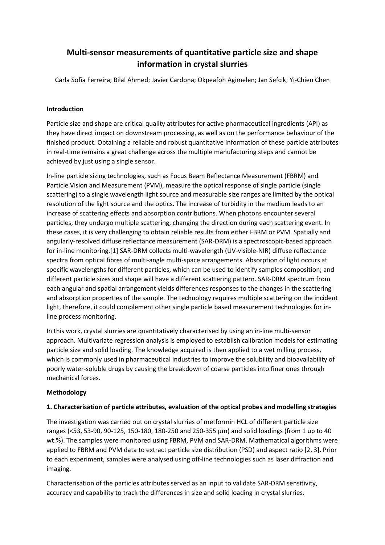# **Multi-sensor measurements of quantitative particle size and shape information in crystal slurries**

Carla Sofia Ferreira; Bilal Ahmed; Javier Cardona; Okpeafoh Agimelen; Jan Sefcik; Yi-Chien Chen

# **Introduction**

Particle size and shape are critical quality attributes for active pharmaceutical ingredients (API) as they have direct impact on downstream processing, as well as on the performance behaviour of the finished product. Obtaining a reliable and robust quantitative information of these particle attributes in real-time remains a great challenge across the multiple manufacturing steps and cannot be achieved by just using a single sensor.

In-line particle sizing technologies, such as Focus Beam Reflectance Measurement (FBRM) and Particle Vision and Measurement (PVM), measure the optical response of single particle (single scattering) to a single wavelength light source and measurable size ranges are limited by the optical resolution of the light source and the optics. The increase of turbidity in the medium leads to an increase of scattering effects and absorption contributions. When photons encounter several particles, they undergo multiple scattering, changing the direction during each scattering event. In these cases, it is very challenging to obtain reliable results from either FBRM or PVM. Spatially and angularly-resolved diffuse reflectance measurement (SAR-DRM) is a spectroscopic-based approach for in-line monitoring.[1] SAR-DRM collects multi-wavelength (UV-visible-NIR) diffuse reflectance spectra from optical fibres of multi-angle multi-space arrangements. Absorption of light occurs at specific wavelengths for different particles, which can be used to identify samples composition; and different particle sizes and shape will have a different scattering pattern. SAR-DRM spectrum from each angular and spatial arrangement yields differences responses to the changes in the scattering and absorption properties of the sample. The technology requires multiple scattering on the incident light, therefore, it could complement other single particle based measurement technologies for inline process monitoring.

In this work, crystal slurries are quantitatively characterised by using an in-line multi-sensor approach. Multivariate regression analysis is employed to establish calibration models for estimating particle size and solid loading. The knowledge acquired is then applied to a wet milling process, which is commonly used in pharmaceutical industries to improve the solubility and bioavailability of poorly water-soluble drugs by causing the breakdown of coarse particles into finer ones through mechanical forces.

### **Methodology**

### **1. Characterisation of particle attributes, evaluation of the optical probes and modelling strategies**

The investigation was carried out on crystal slurries of metformin HCL of different particle size ranges (<53, 53-90, 90-125, 150-180, 180-250 and 250-355 µm) and solid loadings (from 1 up to 40 wt.%). The samples were monitored using FBRM, PVM and SAR-DRM. Mathematical algorithms were applied to FBRM and PVM data to extract particle size distribution (PSD) and aspect ratio [2, 3]. Prior to each experiment, samples were analysed using off-line technologies such as laser diffraction and imaging.

Characterisation of the particles attributes served as an input to validate SAR-DRM sensitivity, accuracy and capability to track the differences in size and solid loading in crystal slurries.